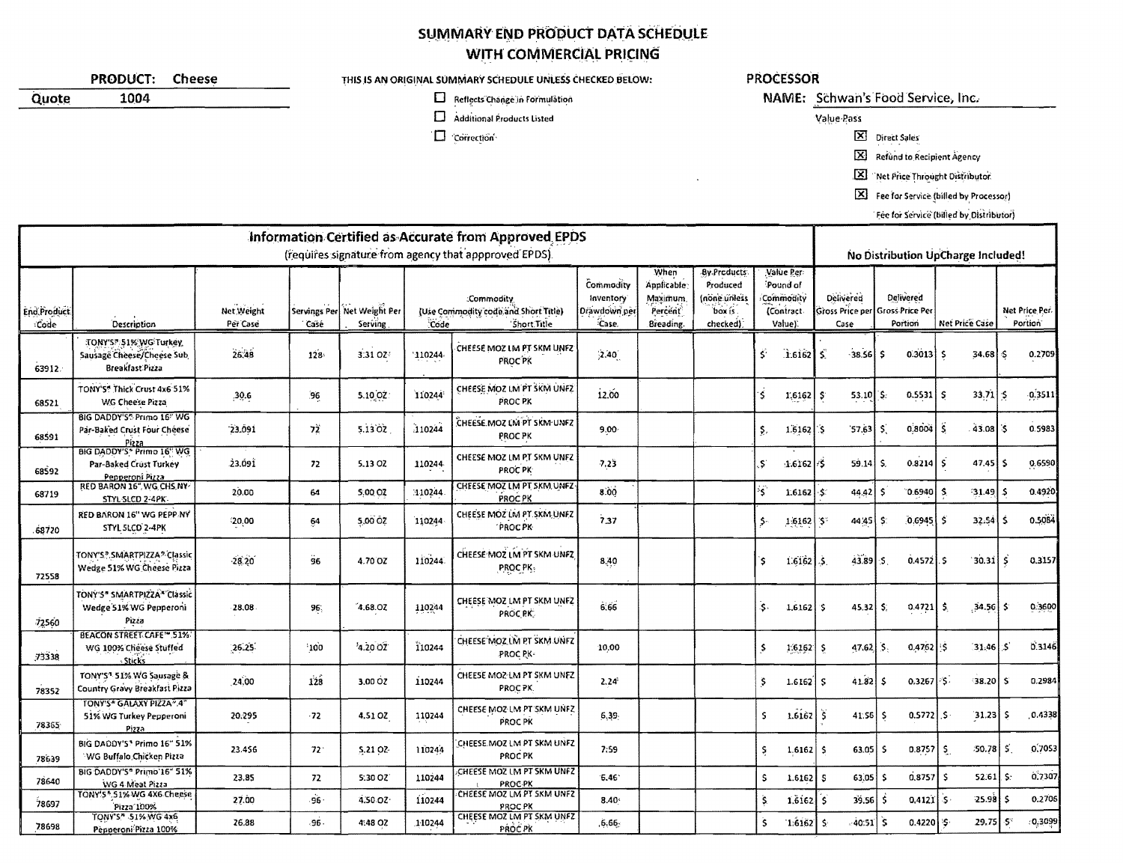## SUMMARY END PRODUCT DATA SCHEDULE WITH COMMERCIAL PRICING

|                                                                                                               | <b>PRODUCT:</b><br><b>Cheese</b>                                                                |                                | THIS IS AN ORIGINAL SUMMARY SCHEDULE UNLESS CHECKED BELOW: |                                        |                                                                                        |                                                 |                                                 |                                                        |                                                                       | <b>PROCESSOR</b>                                            |                                    |                                                                |                                       |                                        |           |  |  |
|---------------------------------------------------------------------------------------------------------------|-------------------------------------------------------------------------------------------------|--------------------------------|------------------------------------------------------------|----------------------------------------|----------------------------------------------------------------------------------------|-------------------------------------------------|-------------------------------------------------|--------------------------------------------------------|-----------------------------------------------------------------------|-------------------------------------------------------------|------------------------------------|----------------------------------------------------------------|---------------------------------------|----------------------------------------|-----------|--|--|
| Quote                                                                                                         | 1004                                                                                            | Reflects Change in Formulation |                                                            |                                        |                                                                                        |                                                 |                                                 |                                                        |                                                                       | NAME: Schwan's Food Service, Inc.                           |                                    |                                                                |                                       |                                        |           |  |  |
|                                                                                                               |                                                                                                 |                                |                                                            |                                        | □                                                                                      | Additional Products Listed                      |                                                 |                                                        |                                                                       |                                                             | Value Pass                         |                                                                |                                       |                                        |           |  |  |
|                                                                                                               |                                                                                                 |                                |                                                            |                                        | □                                                                                      | Correction                                      |                                                 |                                                        |                                                                       |                                                             | $\boxtimes$                        | Direct Sales                                                   |                                       |                                        |           |  |  |
|                                                                                                               |                                                                                                 |                                |                                                            |                                        |                                                                                        |                                                 |                                                 |                                                        |                                                                       |                                                             | $\boxtimes$                        | Refund to Recipient Agency                                     |                                       |                                        |           |  |  |
|                                                                                                               |                                                                                                 |                                |                                                            |                                        |                                                                                        |                                                 |                                                 |                                                        |                                                                       |                                                             | ⊠                                  | Net Price Throught Distributor                                 |                                       |                                        |           |  |  |
|                                                                                                               |                                                                                                 |                                |                                                            |                                        |                                                                                        |                                                 |                                                 |                                                        |                                                                       |                                                             | $\mathbf{x}$                       |                                                                | Fee for Service (billed by Processor) |                                        |           |  |  |
|                                                                                                               |                                                                                                 |                                |                                                            |                                        |                                                                                        |                                                 |                                                 |                                                        |                                                                       |                                                             |                                    | Fee for Service (billed by Distributor)                        |                                       |                                        |           |  |  |
|                                                                                                               |                                                                                                 |                                |                                                            |                                        |                                                                                        |                                                 |                                                 |                                                        |                                                                       |                                                             |                                    |                                                                |                                       |                                        |           |  |  |
| Information Certified as Accurate from Approved EPDS<br>(requires signature from agency that appproved EPDS). |                                                                                                 |                                |                                                            |                                        |                                                                                        |                                                 |                                                 |                                                        |                                                                       |                                                             | No Distribution UpCharge Included! |                                                                |                                       |                                        |           |  |  |
| End Product<br>Code                                                                                           | Description                                                                                     | Net Weight<br>Per Case         | Casé                                                       | Servings Per Net Weight Per<br>Serving | :Commodity<br>(Use Commodity code and Short Title)<br>Short Title<br>Code <sup>®</sup> |                                                 | Commodity<br>Inventory<br>Drawdown per<br>Case. | When<br>Applicable<br>Maximum.<br>Percent<br>Breading. | <b>By Products</b><br>Produced<br>(none unless<br>box is.<br>checked) | Value Per<br>Pound of<br>Commodity<br>(Contract-<br>Value). | Delivered<br>Case                  | <b>Delivered</b><br>Sross Price per Gross Price Per<br>Portion | Net Price Case                        | Net Price Per.<br>Portion <sup>®</sup> |           |  |  |
| 63912.                                                                                                        | TONY'S ?: 51% WG Turkey<br>Sausage Cheese/Cheese Sub<br>Breakfast Pizza                         | 26,48                          | 128                                                        | 3:31 OZ                                | 110244                                                                                 | CHEESE MOZ LM PT SKM UNFZ<br>PROC PK            | (2.40)                                          |                                                        |                                                                       | Š.<br>$\hat{1}$ .6162                                       | S.<br>$-38.56$                     | $0.3013$ \$<br>-S.                                             | 34.68                                 | ¦\$                                    | 0.2709    |  |  |
| 68521                                                                                                         | TONY'S* Thick Crust 4x6 51%<br>WG Cheese Pizza                                                  | 30.6                           | 96                                                         | 5.10 OZ:                               | 110244                                                                                 | CHEESE MOZ LM PT SKM UNFZ<br>PROC PK            | 12.00                                           |                                                        |                                                                       | Ś.<br>$1.6162$ $\frac{1}{5}$                                | 53.10                              | $0.5531$ $S$<br>`\$.                                           | $33.71 \, \pm 5$                      |                                        | $-0.3511$ |  |  |
| 68591                                                                                                         | BIG DADDY'S" Primo 16" WG<br>Par-Baked Crust Four Cheese<br>Pizza<br>BIG DADDY'S * Primo 16" WG | 23.091                         | 72                                                         | 5.1302                                 | 110244                                                                                 | .<br>CHEESE MOZ LM PT SKM UNFZ<br>PROC PK       | $9.00 -$                                        |                                                        |                                                                       | $1.6162$ S<br>Ş,                                            | 57,63                              | $0.8004$ $\mid$ S<br>-5.                                       | 43.08 5                               |                                        | 0.5983    |  |  |
| 68592                                                                                                         | Par-Baked Crust Turkey<br>Pepperoni Pizza<br>RED BARON 16", WG, CHS, NY                         | 23.091                         | 72                                                         | 5.13 OZ                                | 110244                                                                                 | CHEESE MOZ LM PT SKM UNFZ<br>PROC PK            | 7,23                                            |                                                        |                                                                       | s.<br>$1.6162 \mid 75$                                      | 59.14                              | $0.8214$ $\overline{5}$<br>S.                                  | $47.45$ \$                            |                                        | 0.6590    |  |  |
| 68719                                                                                                         | STYL SLCD 2-4PK                                                                                 | 20.00                          | 64                                                         | 5:00.02                                | 110244                                                                                 | CHEESE MOZ LM PT SKM UNFZ<br>PROC PK            | 8.00                                            |                                                        |                                                                       | 兮<br>1.6162 $\cdot$ \$                                      | 44.42                              | -\$<br>$0.6940$ S.                                             | $31.49$ \$                            |                                        | 0.4920    |  |  |
| 68720                                                                                                         | RED BARON 16" WG PEPP NY<br>STYL SLCD 2-4PK                                                     | 20,00                          | 64                                                         | 5,00 OZ                                | 110244                                                                                 | CHEESE MOZ'LM PT SKM UNFZ<br><b>PROCPK</b>      | 7.37                                            |                                                        |                                                                       | \$٠<br>$1.6162$ $5$                                         | 44.45 \$                           | $[0.6945]$ \$                                                  | $32.54$ \$                            |                                        | 0.5084    |  |  |
| 72558                                                                                                         | TONY'S? SMARTPIZZA? Classic<br>Wedge 51% WG Cheese Pizza                                        | 28.20                          | 96                                                         | 4.70 OZ                                | 110244                                                                                 | CHEESE MOZ LM PT SKM UNFZ<br>PROC PK:           | 8,40                                            |                                                        |                                                                       | $16162$ \$<br>`\$                                           | 43.89                              | $0.4572$ .<br>$\cdot$ s.                                       | $30.31$ $\frac{2}{3}$                 |                                        | 0.3157    |  |  |
| 72560                                                                                                         | TONY'S" SMARTPIZZA" Classic<br>Wedge 51% WG Pepperoni<br>Pizza                                  | 28.08                          | 96,                                                        | 4.68.07                                | 110244                                                                                 | CHEESE MOZ LM PT SKM UNFZ<br><b>PROCRK</b>      | 6.66                                            |                                                        |                                                                       | \$.<br>$1,6162$ \$                                          | 45.32                              | -\$)<br>0.4721                                                 | $34.56$ \$<br>I S.                    |                                        | 0.3600    |  |  |
| 73338                                                                                                         | <b>BEACON STREET CAFE" 51%</b><br>WG 100% Cheese Stuffed<br><b>Sticks</b>                       | 26.25                          | 100                                                        | 4.20.02                                | 110244                                                                                 | CHEESE MOZ LM PT SKM UNFZ<br>PROC PK-           | 10,00                                           |                                                        |                                                                       | s<br>$1.6162$ \$                                            | $47.62$ $5.$                       | $0,4762$ $\frac{1}{5}$                                         | $31.46 \,   \, S$                     |                                        | 0.3146    |  |  |
| 78352                                                                                                         | TONY'S <sup>4</sup> 51% WG Sausage &<br>Country Gravy Breakfast Pizza                           | 24.00                          | 128                                                        | 3,00 02                                | 110244                                                                                 | CHEESE MOZ-LM PT SKM UNFZ<br>PROC <sub>PK</sub> | 2.24                                            |                                                        |                                                                       | 1.6162<br>-5                                                | $41.82$ \$<br>-S                   | $0.3267$ $\frac{5}{5}$                                         | $38.20$ S                             |                                        | 0.2984    |  |  |
| 78365                                                                                                         | TONY'S* GALAXY PIZZA".4"<br>51% WG Turkey Pepperoni<br>Pizza                                    | 20.295                         | $-72$                                                      | 4.51 OZ                                | 110244                                                                                 | CHEESE MOZ LM PT SKM UNFZ<br>PROC PK            | 6,39,                                           |                                                        |                                                                       | S.<br>$1.6162$ $\frac{1}{5}$                                | $41.56$ $\frac{2}{3}$              | $0.5772$ . S                                                   | $31.23$ $5$                           |                                        | 0.4338    |  |  |
| 78639                                                                                                         | BIG DADDY'S* Primo 16" 51%<br>WG Buffalo,Chicken Pizza                                          | 23 4 56                        | $72^{\circ}$                                               | 5.21 02                                | 110244                                                                                 | CHEESE MOZ LM PT SKM UNFZ<br>PROC PK            | 7:59                                            |                                                        |                                                                       | S.<br>$1.6162$ \$                                           | $63.05$ $\frac{5}{5}$              | $0.8757$ $\mid$ \$                                             | $50.78$ $\mid$ 5                      |                                        | 0.7053    |  |  |
| 78640                                                                                                         | BIG DADDY'S" Primo'16" 51%<br>WG 4 Meat Pizza                                                   | 23.85                          | 72                                                         | 5:30 OZ                                | 110244                                                                                 | CHEESE MOZ UM PT SKM UNFZ<br>PROC PK            | 6.46                                            |                                                        |                                                                       | s<br>$1.6162$ $S$                                           | $63.05$ $\frac{2}{3}$              | $0.8757$ \$                                                    | $52.61$ $\pm$                         |                                        | 0.7307    |  |  |
| 78697                                                                                                         | TONY'S *. 51% WG 4X6 Cheese<br>Pizza 100%                                                       | 27.00                          | $-96 -$                                                    | 4.50 OZ                                | 110244                                                                                 | CHEESE MOZ LM PT SKM UNFZ<br>PROC PK            | 8.40                                            |                                                        |                                                                       | Š.<br>$1.6162$ \$                                           | $39.56$ 5                          | $0.4121$ $S$                                                   | $25.98$ \$                            |                                        | 0.2705    |  |  |
| 78698                                                                                                         | TONY'S" 51% WG 4x6<br>Penneroni Pizza 100%                                                      | 26.88                          | $-96 -$                                                    | 4:48 07                                | 110244                                                                                 | CHEESE MOZ LM PT SKM UNFZ<br>PROC PK            | 6.66.                                           |                                                        |                                                                       | Ŝ.<br>$1.6162$ \$                                           | $40.51$ $\frac{2}{5}$              | $0.4220$ $\frac{15}{7}$                                        | 29.75 5                               |                                        | 0.3099    |  |  |